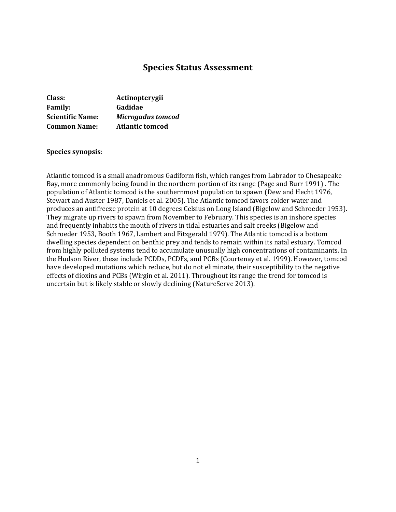# **Species Status Assessment**

| Class:                  | Actinopterygii           |
|-------------------------|--------------------------|
| <b>Family:</b>          | Gadidae                  |
| <b>Scientific Name:</b> | <b>Microgadus tomcod</b> |
| <b>Common Name:</b>     | <b>Atlantic tomcod</b>   |

#### **Species synopsis**:

Atlantic tomcod is a small anadromous Gadiform fish, which ranges from Labrador to Chesapeake Bay, more commonly being found in the northern portion of its range (Page and Burr 1991) . The population of Atlantic tomcod is the southernmost population to spawn (Dew and Hecht 1976, Stewart and Auster 1987, Daniels et al. 2005). The Atlantic tomcod favors colder water and produces an antifreeze protein at 10 degrees Celsius on Long Island (Bigelow and Schroeder 1953). They migrate up rivers to spawn from November to February. This species is an inshore species and frequently inhabits the mouth of rivers in tidal estuaries and salt creeks (Bigelow and Schroeder 1953, Booth 1967, Lambert and Fitzgerald 1979). The Atlantic tomcod is a bottom dwelling species dependent on benthic prey and tends to remain within its natal estuary. Tomcod from highly polluted systems tend to accumulate unusually high concentrations of contaminants. In the Hudson River, these include PCDDs, PCDFs, and PCBs (Courtenay et al. 1999). However, tomcod have developed mutations which reduce, but do not eliminate, their susceptibility to the negative effects of dioxins and PCBs (Wirgin et al. 2011). Throughout its range the trend for tomcod is uncertain but is likely stable or slowly declining (NatureServe 2013).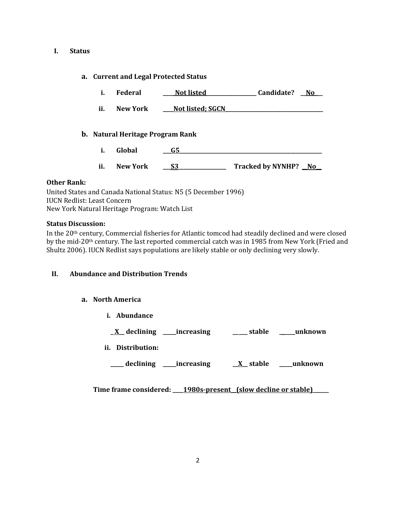### **I. Status**

## **a. Current and Legal Protected Status**

- **i. Federal \_\_\_\_ Not listed\_\_\_\_\_\_\_\_\_\_\_\_\_\_\_\_\_\_\_ Candidate? \_\_No\_\_\_**
- ii. New York <u>Mot listed; SGCN</u>

## **b. Natural Heritage Program Rank**

- **i. Global \_\_\_G5\_\_\_\_\_\_\_\_\_\_\_\_\_\_\_\_\_\_\_\_\_\_\_\_\_\_\_\_\_\_\_\_\_\_\_\_\_\_\_\_\_\_\_\_\_\_\_\_\_\_\_\_\_\_**
- **ii. New York \_\_\_S3\_\_\_\_\_\_\_\_\_\_\_\_\_\_\_\_\_\_ Tracked by NYNHP? \_\_No\_\_**

## **Other Rank:**

United States and Canada National Status: N5 (5 December 1996) IUCN Redlist: Least Concern New York Natural Heritage Program: Watch List

## **Status Discussion:**

In the 20th century, Commercial fisheries for Atlantic tomcod had steadily declined and were closed by the mid-20th century. The last reported commercial catch was in 1985 from New York (Fried and Shultz 2006). IUCN Redlist says populations are likely stable or only declining very slowly.

## **II. Abundance and Distribution Trends**

## **a. North America**

**i. Abundance**

**\_ X\_\_ declining \_\_\_\_\_increasing \_\_ \_\_\_ stable \_\_\_\_\_\_unknown**

**ii. Distribution:**

**\_\_\_\_\_ declining \_\_\_\_\_increasing \_\_X\_\_ stable \_\_\_\_\_unknown**

Time frame considered: 1980s-present (slow decline or stable)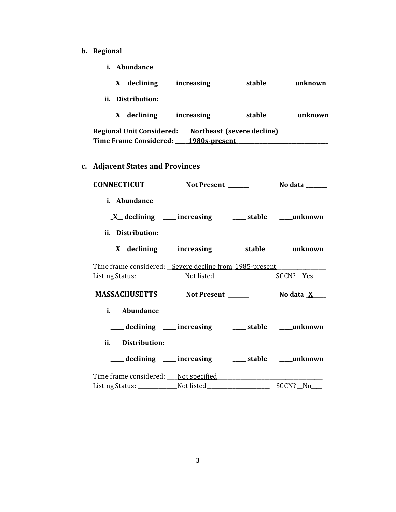- **b. Regional** 
	- **i. Abundance**

| ii. Distribution:                                                      |                           |                         |
|------------------------------------------------------------------------|---------------------------|-------------------------|
|                                                                        |                           |                         |
| Regional Unit Considered: ___ Northeast (severe decline) _____________ |                           |                         |
| Time Frame Considered: 1980s-present 1980s-production                  |                           |                         |
|                                                                        |                           |                         |
| c. Adjacent States and Provinces                                       |                           |                         |
| <b>CONNECTICUT</b>                                                     | Not Present ____          | No data                 |
| <i>i.</i> Abundance                                                    |                           |                         |
|                                                                        | X declining __ increasing | ___ stable domain manus |

**ii. Distribution:**

| $\underline{X}$ declining<br>increasing | stable | unknown |
|-----------------------------------------|--------|---------|
|-----------------------------------------|--------|---------|

Time frame considered: \_\_Severe decline from 1985-present \_\_\_\_\_\_\_\_\_\_\_\_\_\_\_\_\_\_\_\_\_\_ Listing Status: \_\_\_\_\_\_\_\_\_\_\_\_\_\_\_\_\_\_Not listed\_\_\_\_\_\_\_\_\_\_\_\_\_\_\_\_\_\_\_\_\_ SGCN? \_\_Yes\_\_\_\_\_

**MASSACHUSETTS** Not Present \_\_\_\_\_\_\_\_\_\_\_ No data  $\underline{X}$ 

- **i. Abundance**
	- **\_\_\_\_\_ declining \_\_\_\_\_ increasing \_\_\_\_\_ stable \_\_\_\_\_unknown**
- **ii. Distribution:**
- **\_\_\_\_\_ declining \_\_\_\_\_ increasing \_\_\_\_\_ stable \_\_\_\_\_unknown**

| Time frame considered: Not specified |            |          |
|--------------------------------------|------------|----------|
| Listing Status:                      | Not listed | SGCN? No |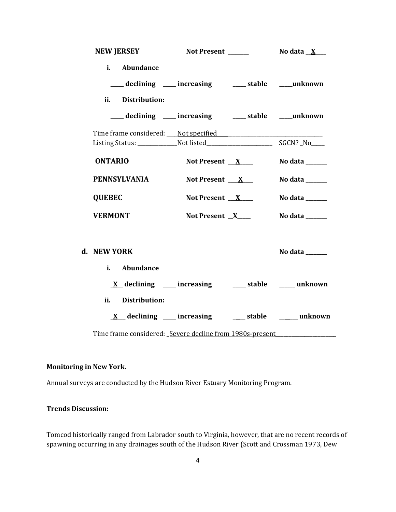| <b>NEW JERSEY</b>                                                                                                                       | Not Present ______  | No data $X$                     |
|-----------------------------------------------------------------------------------------------------------------------------------------|---------------------|---------------------------------|
| i. Abundance<br>___ declining ___ increasing ___ stable ___ unknown                                                                     |                     |                                 |
| ii. Distribution:                                                                                                                       |                     |                                 |
| ___ declining ___ increasing ___ stable ___ unknown                                                                                     |                     |                                 |
|                                                                                                                                         |                     |                                 |
|                                                                                                                                         |                     |                                 |
| <b>ONTARIO</b>                                                                                                                          | Not Present $X$     | No data $\_\_\_\_\_\_\_\_\_\_\$ |
| <b>PENNSYLVANIA</b>                                                                                                                     | Not Present $X_{-}$ | No data _____                   |
| <b>QUEBEC</b>                                                                                                                           | Not Present $X$     | No data ______                  |
| <b>VERMONT</b>                                                                                                                          | Not Present $X$     | No data ______                  |
| d. NEW YORK<br>i. Abundance                                                                                                             |                     | No data ______                  |
| $\underline{X}$ declining ____ increasing _____ stable _____ unknown                                                                    |                     |                                 |
| ii.<br>Distribution:<br>$X$ declining ___ increasing ___ stable ___ unknown<br>Time frame considered: Severe decline from 1980s-present |                     |                                 |

## **Monitoring in New York.**

Annual surveys are conducted by the Hudson River Estuary Monitoring Program.

## **Trends Discussion:**

Tomcod historically ranged from Labrador south to Virginia, however, that are no recent records of spawning occurring in any drainages south of the Hudson River (Scott and Crossman 1973, Dew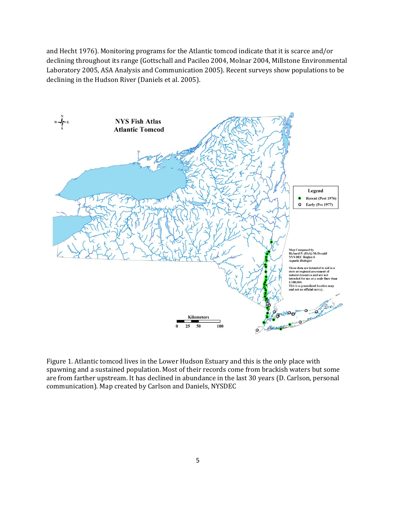and Hecht 1976). Monitoring programs for the Atlantic tomcod indicate that it is scarce and/or declining throughout its range (Gottschall and Pacileo 2004, Molnar 2004, Millstone Environmental Laboratory 2005, ASA Analysis and Communication 2005). Recent surveys show populations to be declining in the Hudson River (Daniels et al. 2005).



Figure 1. Atlantic tomcod lives in the Lower Hudson Estuary and this is the only place with spawning and a sustained population. Most of their records come from brackish waters but some are from farther upstream. It has declined in abundance in the last 30 years (D. Carlson, personal communication). Map created by Carlson and Daniels, NYSDEC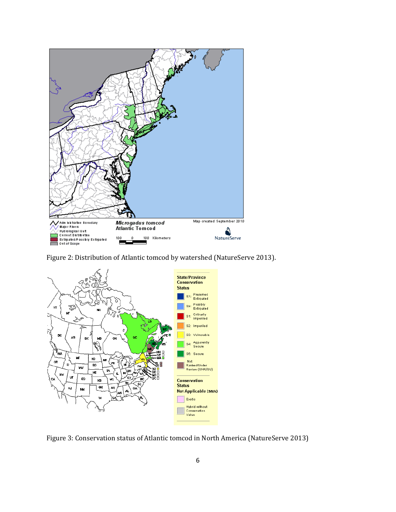

Figure 2: Distribution of Atlantic tomcod by watershed (NatureServe 2013).



Figure 3: Conservation status of Atlantic tomcod in North America (NatureServe 2013)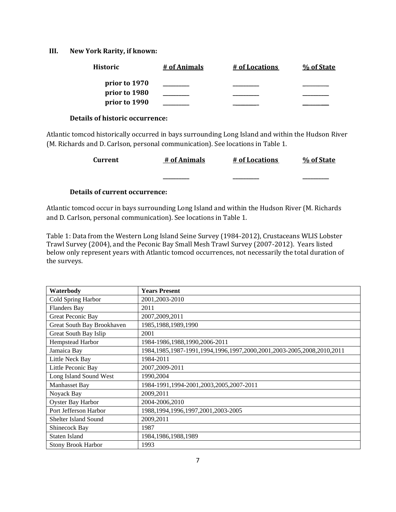### **III. New York Rarity, if known:**

| <b>Historic</b> | # of Animals | # of Locations | % of State |
|-----------------|--------------|----------------|------------|
| prior to 1970   |              |                |            |
| prior to 1980   |              |                |            |
| prior to 1990   |              |                |            |

#### **Details of historic occurrence:**

Atlantic tomcod historically occurred in bays surrounding Long Island and within the Hudson River (M. Richards and D. Carlson, personal communication). See locations in Table 1.

| <b>Current</b> | # of Animals | # of Locations | % of State |
|----------------|--------------|----------------|------------|
|                |              |                |            |
|                |              |                |            |

# **Details of current occurrence:**

Atlantic tomcod occur in bays surrounding Long Island and within the Hudson River (M. Richards and D. Carlson, personal communication). See locations in Table 1.

Table 1: Data from the Western Long Island Seine Survey (1984-2012), Crustaceans WLIS Lobster Trawl Survey (2004), and the Peconic Bay Small Mesh Trawl Survey (2007-2012). Years listed below only represent years with Atlantic tomcod occurrences, not necessarily the total duration of the surveys.

| Waterbody                   | <b>Years Present</b>                                                  |
|-----------------------------|-----------------------------------------------------------------------|
| Cold Spring Harbor          | 2001, 2003-2010                                                       |
| <b>Flanders Bay</b>         | 2011                                                                  |
| Great Peconic Bay           | 2007, 2009, 2011                                                      |
| Great South Bay Brookhaven  | 1985, 1988, 1989, 1990                                                |
| Great South Bay Islip       | 2001                                                                  |
| Hempstead Harbor            | 1984-1986,1988,1990,2006-2011                                         |
| Jamaica Bay                 | 1984,1985,1987-1991,1994,1996,1997,2000,2001,2003-2005,2008,2010,2011 |
| Little Neck Bay             | 1984-2011                                                             |
| Little Peconic Bay          | 2007,2009-2011                                                        |
| Long Island Sound West      | 1990,2004                                                             |
| Manhasset Bay               | 1984-1991,1994-2001,2003,2005,2007-2011                               |
| Noyack Bay                  | 2009,2011                                                             |
| Oyster Bay Harbor           | 2004-2006,2010                                                        |
| Port Jefferson Harbor       | 1988, 1994, 1996, 1997, 2001, 2003-2005                               |
| <b>Shelter Island Sound</b> | 2009,2011                                                             |
| Shinecock Bay               | 1987                                                                  |
| <b>Staten Island</b>        | 1984, 1986, 1988, 1989                                                |
| <b>Stony Brook Harbor</b>   | 1993                                                                  |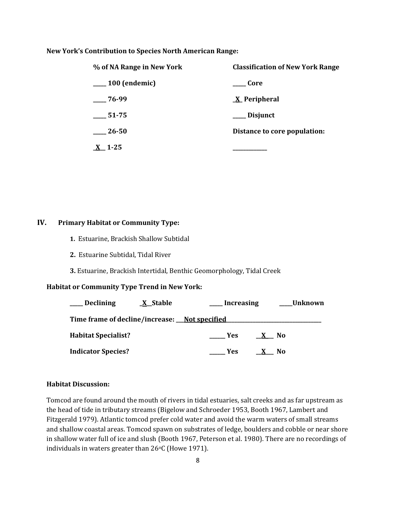#### **New York's Contribution to Species North American Range:**

| % of NA Range in New York | <b>Classification of New York Range</b> |  |  |
|---------------------------|-----------------------------------------|--|--|
| $\mu$ 100 (endemic)       | Core                                    |  |  |
| $-76-99$                  | <u>X</u> Peripheral                     |  |  |
| 51-75                     | __ Disjunct                             |  |  |
| 26-50                     | Distance to core population:            |  |  |
| $X$ 1-25                  |                                         |  |  |

#### **IV. Primary Habitat or Community Type:**

- **1.** Estuarine, Brackish Shallow Subtidal
- **2.** Estuarine Subtidal, Tidal River
- **3.** Estuarine, Brackish Intertidal, Benthic Geomorphology, Tidal Creek

#### **Habitat or Community Type Trend in New York:**

| Declining                  | <b>X</b> Stable                               | Increasing |  | Unknown |  |
|----------------------------|-----------------------------------------------|------------|--|---------|--|
|                            | Time frame of decline/increase: Not specified |            |  |         |  |
| <b>Habitat Specialist?</b> |                                               | <b>Yes</b> |  | No.     |  |
| <b>Indicator Species?</b>  |                                               | Yes.       |  | N0      |  |

#### **Habitat Discussion:**

Tomcod are found around the mouth of rivers in tidal estuaries, salt creeks and as far upstream as the head of tide in tributary streams (Bigelow and Schroeder 1953, Booth 1967, Lambert and Fitzgerald 1979). Atlantic tomcod prefer cold water and avoid the warm waters of small streams and shallow coastal areas. Tomcod spawn on substrates of ledge, boulders and cobble or near shore in shallow water full of ice and slush (Booth 1967, Peterson et al. 1980). There are no recordings of individuals in waters greater than 26°C (Howe 1971).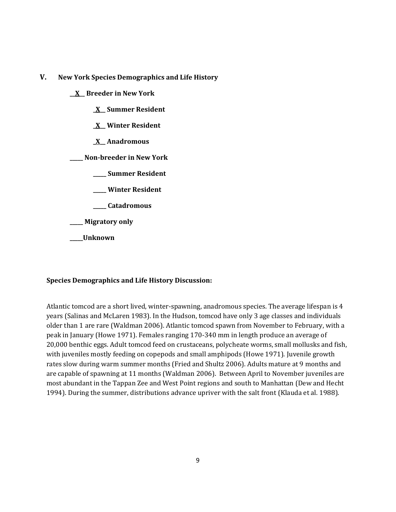**V. New York Species Demographics and Life History**

**\_\_X\_\_ Breeder in New York**

- **\_X\_\_ Summer Resident**
- **\_X\_\_ Winter Resident**
- **\_X\_\_ Anadromous**

**\_\_\_\_\_ Non-breeder in New York**

- **\_\_\_\_\_ Summer Resident**
- **\_\_\_\_\_ Winter Resident**
- **\_\_\_\_\_ Catadromous**

**\_\_\_\_\_ Migratory only**

**\_\_\_\_\_Unknown**

## **Species Demographics and Life History Discussion:**

Atlantic tomcod are a short lived, winter-spawning, anadromous species. The average lifespan is 4 years (Salinas and McLaren 1983). In the Hudson, tomcod have only 3 age classes and individuals older than 1 are rare (Waldman 2006). Atlantic tomcod spawn from November to February, with a peak in January (Howe 1971). Females ranging 170-340 mm in length produce an average of 20,000 benthic eggs. Adult tomcod feed on crustaceans, polycheate worms, small mollusks and fish, with juveniles mostly feeding on copepods and small amphipods (Howe 1971). Juvenile growth rates slow during warm summer months (Fried and Shultz 2006). Adults mature at 9 months and are capable of spawning at 11 months (Waldman 2006). Between April to November juveniles are most abundant in the Tappan Zee and West Point regions and south to Manhattan (Dew and Hecht 1994). During the summer, distributions advance upriver with the salt front (Klauda et al. 1988).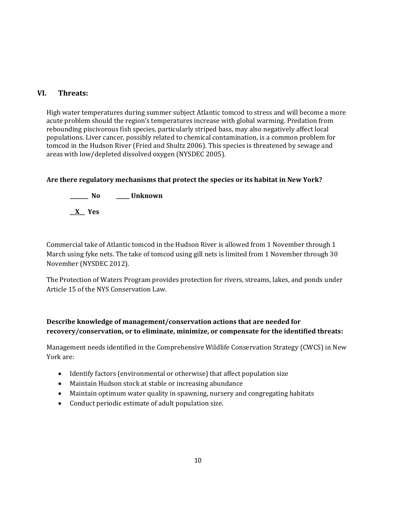# **VI. Threats:**

High water temperatures during summer subject Atlantic tomcod to stress and will become a more acute problem should the region's temperatures increase with global warming. Predation from rebounding piscivorous fish species, particularly striped bass, may also negatively affect local populations. Liver cancer, possibly related to chemical contamination, is a common problem for tomcod in the Hudson River (Fried and Shultz 2006). This species is threatened by sewage and areas with low/depleted dissolved oxygen (NYSDEC 2005).

# **Are there regulatory mechanisms that protect the species or its habitat in New York?**

**\_\_\_\_\_\_\_ No \_\_\_\_\_ Unknown \_\_X\_\_ Yes** 

Commercial take of Atlantic tomcod in the Hudson River is allowed from 1 November through 1 March using fyke nets. The take of tomcod using gill nets is limited from 1 November through 30 November (NYSDEC 2012).

The Protection of Waters Program provides protection for rivers, streams, lakes, and ponds under Article 15 of the NYS Conservation Law.

# **Describe knowledge of management/conservation actions that are needed for recovery/conservation, or to eliminate, minimize, or compensate for the identified threats:**

Management needs identified in the Comprehensive Wildlife Conservation Strategy (CWCS) in New York are:

- Identify factors (environmental or otherwise) that affect population size
- Maintain Hudson stock at stable or increasing abundance
- Maintain optimum water quality in spawning, nursery and congregating habitats
- Conduct periodic estimate of adult population size.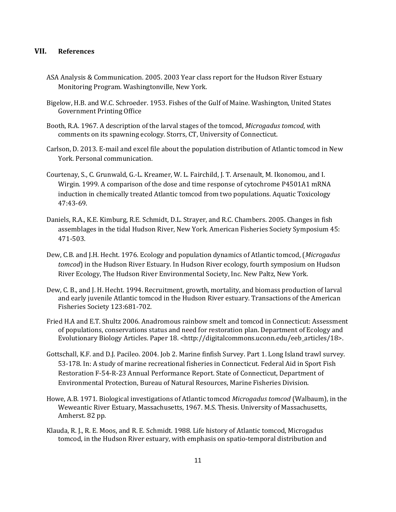## **VII. References**

- ASA Analysis & Communication. 2005. 2003 Year class report for the Hudson River Estuary Monitoring Program. Washingtonville, New York.
- Bigelow, H.B. and W.C. Schroeder. 1953. Fishes of the Gulf of Maine. Washington, United States Government Printing Office
- Booth, R.A. 1967. A description of the larval stages of the tomcod, *Microgadus tomcod*, with comments on its spawning ecology. Storrs, CT, University of Connecticut.
- Carlson, D. 2013. E-mail and excel file about the population distribution of Atlantic tomcod in New York. Personal communication.
- Courtenay, S., C. Grunwald, G.-L. Kreamer, W. L. Fairchild, J. T. Arsenault, M. Ikonomou, and I. Wirgin. 1999. A comparison of the dose and time response of cytochrome P4501A1 mRNA induction in chemically treated Atlantic tomcod from two populations. Aquatic Toxicology 47:43-69.
- Daniels, R.A., K.E. Kimburg, R.E. Schmidt, D.L. Strayer, and R.C. Chambers. 2005. Changes in fish assemblages in the tidal Hudson River, New York. American Fisheries Society Symposium 45: 471-503.
- Dew, C.B. and J.H. Hecht. 1976. Ecology and population dynamics of Atlantic tomcod, (*Microgadus tomcod*) in the Hudson River Estuary. In Hudson River ecology, fourth symposium on Hudson River Ecology, The Hudson River Environmental Society, Inc. New Paltz, New York.
- Dew, C. B., and J. H. Hecht. 1994. Recruitment, growth, mortality, and biomass production of larval and early juvenile Atlantic tomcod in the Hudson River estuary. Transactions of the American Fisheries Society 123:681-702.
- Fried H.A and E.T. Shultz 2006. Anadromous rainbow smelt and tomcod in Connecticut: Assessment of populations, conservations status and need for restoration plan. Department of Ecology and Evolutionary Biology Articles. Paper 18. <http://digitalcommons.uconn.edu/eeb\_articles/18>.
- Gottschall, K.F. and D.J. Pacileo. 2004. Job 2. Marine finfish Survey. Part 1. Long Island trawl survey. 53-178. In: A study of marine recreational fisheries in Connecticut. Federal Aid in Sport Fish Restoration F-54-R-23 Annual Performance Report. State of Connecticut, Department of Environmental Protection, Bureau of Natural Resources, Marine Fisheries Division.
- Howe, A.B. 1971. Biological investigations of Atlantic tomcod *Microgadus tomcod* (Walbaum), in the Weweantic River Estuary, Massachusetts, 1967. M.S. Thesis. University of Massachusetts, Amherst. 82 pp.
- Klauda, R. J., R. E. Moos, and R. E. Schmidt. 1988. Life history of Atlantic tomcod, Microgadus tomcod, in the Hudson River estuary, with emphasis on spatio-temporal distribution and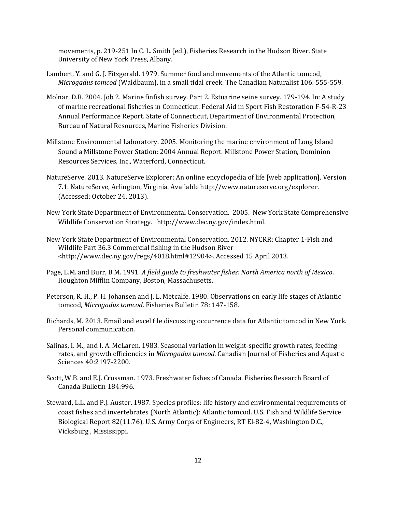movements, p. 219-251 In C. L. Smith (ed.), Fisheries Research in the Hudson River. State University of New York Press, Albany.

- Lambert, Y. and G. J. Fitzgerald. 1979. Summer food and movements of the Atlantic tomcod, *Microgadus tomcod* (Waldbaum), in a small tidal creek. The Canadian Naturalist 106: 555-559.
- Molnar, D.R. 2004. Job 2. Marine finfish survey. Part 2. Estuarine seine survey. 179-194. In: A study of marine recreational fisheries in Connecticut. Federal Aid in Sport Fish Restoration F-54-R-23 Annual Performance Report. State of Connecticut, Department of Environmental Protection, Bureau of Natural Resources, Marine Fisheries Division.
- Millstone Environmental Laboratory. 2005. Monitoring the marine environment of Long Island Sound a Millstone Power Station: 2004 Annual Report. Millstone Power Station, Dominion Resources Services, Inc., Waterford, Connecticut.
- NatureServe. 2013. NatureServe Explorer: An online encyclopedia of life [web application]. Version 7.1. NatureServe, Arlington, Virginia. Available http://www.natureserve.org/explorer. (Accessed: October 24, 2013).
- New York State Department of Environmental Conservation. 2005. New York State Comprehensive Wildlife Conservation Strategy. http://www.dec.ny.gov/index.html.
- New York State Department of Environmental Conservation. 2012. NYCRR: Chapter 1-Fish and Wildlife Part 36.3 Commercial fishing in the Hudson River <http://www.dec.ny.gov/regs/4018.html#12904>. Accessed 15 April 2013.
- Page, L.M. and Burr, B.M. 1991. *A field guide to freshwater fishes: North America north of Mexico*. Houghton Mifflin Company, Boston, Massachusetts.
- Peterson, R. H., P. H. Johansen and J. L. Metcalfe. 1980. Observations on early life stages of Atlantic tomcod, *Microgadus tomcod*. Fisheries Bulletin 78: 147-158.
- Richards, M. 2013. Email and excel file discussing occurrence data for Atlantic tomcod in New York. Personal communication.
- Salinas, I. M., and I. A. McLaren. 1983. Seasonal variation in weight-specific growth rates, feeding rates, and growth efficiencies in *Microgadus tomcod.* Canadian Journal of Fisheries and Aquatic Sciences 40:2197-2200.
- Scott, W.B. and E.J. Crossman. 1973. Freshwater fishes of Canada. Fisheries Research Board of Canada Bulletin 184:996.
- Steward, L.L. and P.J. Auster. 1987. Species profiles: life history and environmental requirements of coast fishes and invertebrates (North Atlantic): Atlantic tomcod. U.S. Fish and Wildlife Service Biological Report 82(11.76). U.S. Army Corps of Engineers, RT El-82-4, Washington D.C., Vicksburg , Mississippi.